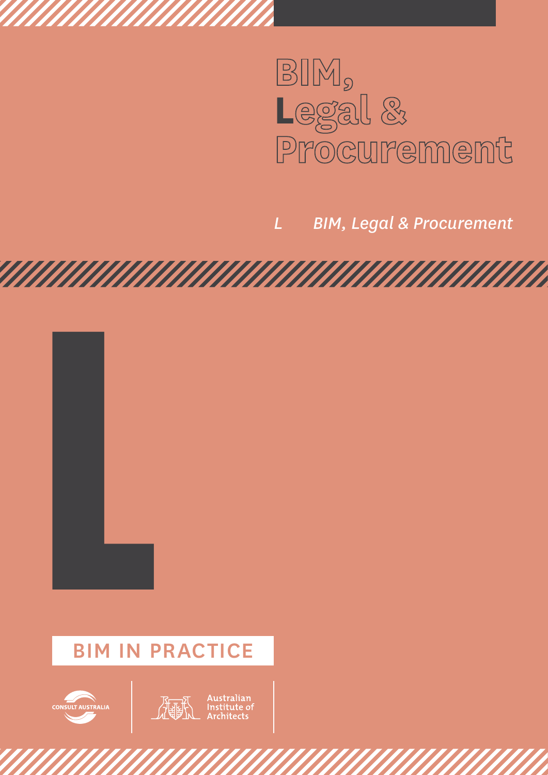

*L BIM, Legal & Procurement*

# L BIM IN PRACTICE



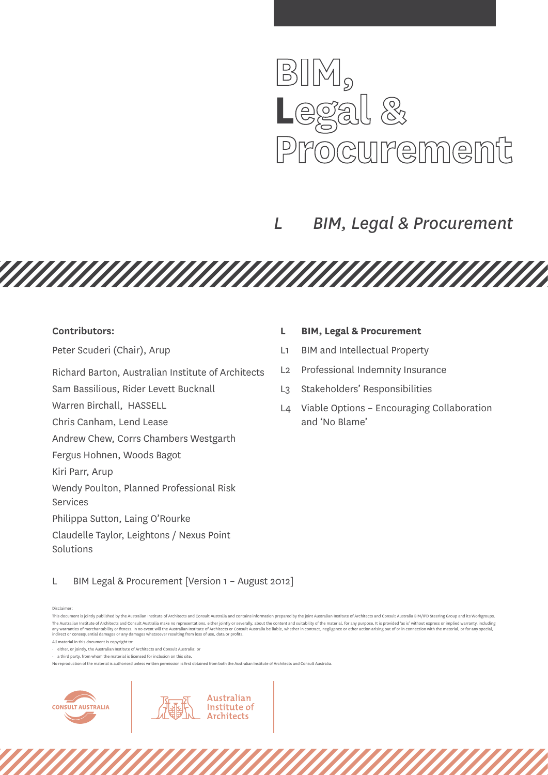

# *L BIM, Legal & Procurement*

**Contributors:** 

Peter Scuderi (Chair), Arup

Richard Barton, Australian Institute of Architects

Sam Bassilious, Rider Levett Bucknall

Warren Birchall, HASSELL

Chris Canham, Lend Lease

Andrew Chew, Corrs Chambers Westgarth

Fergus Hohnen, Woods Bagot

Kiri Parr, Arup

Wendy Poulton, Planned Professional Risk

Services

Philippa Sutton, Laing O'Rourke

Claudelle Taylor, Leightons / Nexus Point Solutions

## **L BIM, Legal & Procurement**

- L1 BIM and Intellectual Property
- L2 Professional Indemnity Insurance
- L3 Stakeholders' Responsibilities
- L4 Viable Options Encouraging Collaboration and 'No Blame'

L BIM Legal & Procurement [Version 1 – August 2012]

Disclaimer:

<u>TAN MANAMAN MANAMAN MANAMAN M</u>

 $\cdot$  a third party, from whom the material is licensed for inclusion on this site.

Australian

Institute of **Architects** 



This document is jointly published by the Australian Institute of Architects and Consult Australia and contains information prepared by the joint Australian Institute of Architects and Consult Australia BIM/IPD Steering Gr The Australian Institute of Architects and Consult Australia make no representations, either iointly or severally, about the content and suitability of the material, for any purpose, It is provided 'as is' without express any warranties of merchantability or fitness. In no event will the Australian Institute of Architects or Consult Australia be liable, whether in contract, negligence or other action arising out of or in connection with the

All material in this document is copyright to:

<sup>•</sup> either, or jointly, the Australian Institute of Architects and Consult Australia; or

No reproduction of the material is authorised unless written permission is first obtained from both the Australian Institute of Architects and Consult Australia.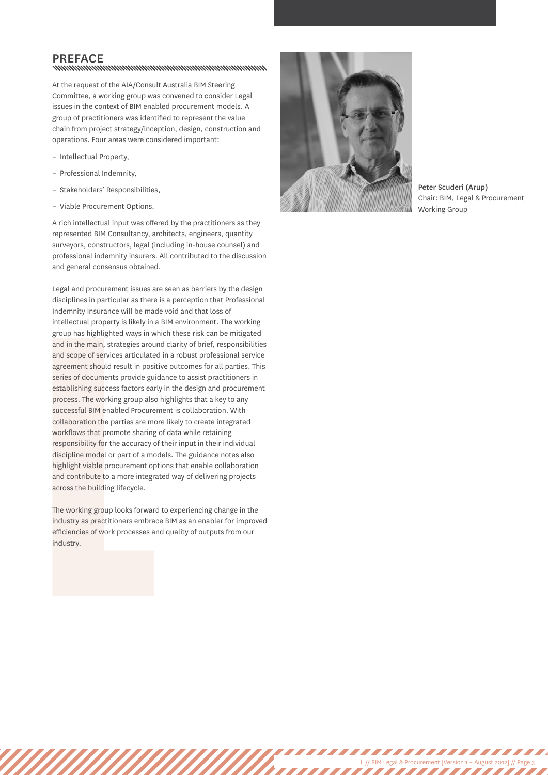# PREFACE<br>www.www.www.www.www.www.www.www.ww

At the request of the AIA/Consult Australia BIM Steering Committee, a working group was convened to consider Legal issues in the context of BIM enabled procurement models. A group of practitioners was identified to represent the value chain from project strategy/inception, design, construction and operations. Four areas were considered important:

- Intellectual Property,
- Professional Indemnity,
- Stakeholders' Responsibilities,
- Viable Procurement Options.

A rich intellectual input was offered by the practitioners as they represented BIM Consultancy, architects, engineers, quantity surveyors, constructors, legal (including in-house counsel) and professional indemnity insurers. All contributed to the discussion and general consensus obtained.

and in the main, strategies aroun<br>and scope of services articulated<br>agreement should result in positi<br>series of documents provide guic<br>establishing success factors early<br>process. The working group also<br>successful BIM enabl Legal and procurement issues are seen as barriers by the design disciplines in particular as there is a perception that Professional Indemnity Insurance will be made void and that loss of intellectual property is likely in a BIM environment. The working group has highlighted ways in which these risk can be mitigated and in the main, strategies around clarity of brief, responsibilities and scope of services articulated in a robust professional service agreement should result in positive outcomes for all parties. This series of documents provide guidance to assist practitioners in establishing success factors early in the design and procurement process. The working group also highlights that a key to any successful BIM enabled Procurement is collaboration. With collaboration the parties are more likely to create integrated workflows that promote sharing of data while retaining responsibility for the accuracy of their input in their individual discipline model or part of a models. The guidance notes also highlight viable procurement options that enable collaboration and contribute to a more integrated way of delivering projects across the building lifecycle.

The working group looks forward to experiencing change in the industry as practitioners embrace BIM as an enabler for improved efficiencies of work processes and quality of outputs from our industry.



Peter Scuderi (Arup) Chair: BIM, Legal & Procurement Working Group

L // BIM Legal & Procurement [Version 1 – August 2012] // Page 3

,,,,,,,,,,,,,,,,,

,,,,,,,,,,,,,,,,,,,,,,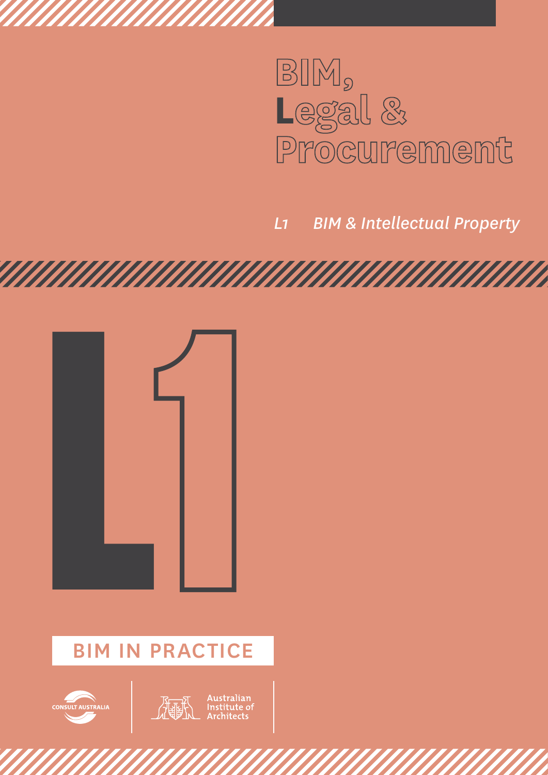

*L1 BIM & Intellectual Property* 



# BIM IN PRACTICE



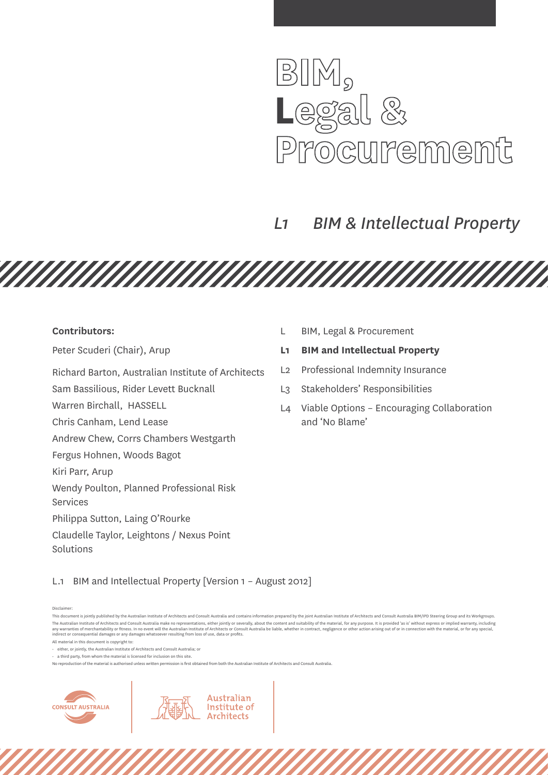

# *L1 BIM & Intellectual Property*

<u>TAN MANAMAN MANAMAN MANAMAN M</u>

#### **Contributors:**

Peter Scuderi (Chair), Arup

Richard Barton, Australian Institute of Architects

Sam Bassilious, Rider Levett Bucknall

Warren Birchall, HASSELL

Chris Canham, Lend Lease

Andrew Chew, Corrs Chambers Westgarth

Fergus Hohnen, Woods Bagot

Kiri Parr, Arup

Wendy Poulton, Planned Professional Risk

Services

Philippa Sutton, Laing O'Rourke

Claudelle Taylor, Leightons / Nexus Point Solutions

L BIM, Legal & Procurement

## **L1 BIM and Intellectual Property**

- L2 Professional Indemnity Insurance
- L3 Stakeholders' Responsibilities
- L4 Viable Options Encouraging Collaboration and 'No Blame'

L.1 BIM and Intellectual Property [Version 1 – August 2012]

Disclaimer:

All material in this document is copyright to:

 $\cdot$  a third party, from whom the material is licensed for inclusion on this site.

Australian

Institute of **Architects** 



This document is jointly published by the Australian Institute of Architects and Consult Australia and contains information prepared by the joint Australian Institute of Architects and Consult Australia BIM/IPD Steering Gr The Australian Institute of Architects and Consult Australia make no representations, either iointly or severally, about the content and suitability of the material, for any purpose, It is provided 'as is' without express any warranties of merchantability or fitness. In no event will the Australian Institute of Architects or Consult Australia be liable, whether in contract, negligence or other action arising out of or in connection with the

<sup>•</sup> either, or jointly, the Australian Institute of Architects and Consult Australia; or

No reproduction of the material is authorised unless written permission is first obtained from both the Australian Institute of Architects and Consult Australia.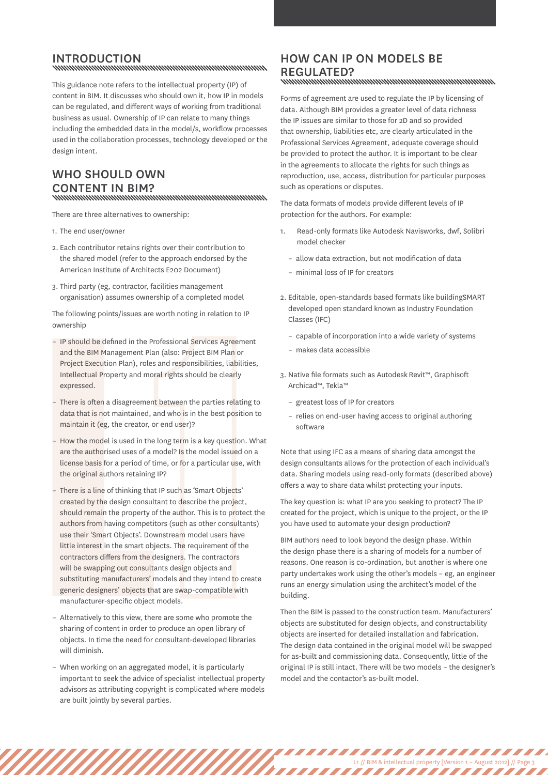# INTRODUCTION<br>www.www.www.www.www.www.www.www.ww

This guidance note refers to the intellectual property (IP) of content in BIM. It discusses who should own it, how IP in models can be regulated, and different ways of working from traditional business as usual. Ownership of IP can relate to many things including the embedded data in the model/s, workflow processes used in the collaboration processes, technology developed or the design intent.

# Who should own content in BIM?

There are three alternatives to ownership:

- 1. The end user/owner
- 2. Each contributor retains rights over their contribution to the shared model (refer to the approach endorsed by the American Institute of Architects E202 Document)
- 3. Third party (eg, contractor, facilities management organisation) assumes ownership of a completed model

The following points/issues are worth noting in relation to IP ownership

- IP should be defined in the Professional Services Agreement and the BIM Management Plan (also: Project BIM Plan or Project Execution Plan), roles and responsibilities, liabilities, Intellectual Property and moral rights should be clearly expressed.
- There is often a disagreement between the parties relating to data that is not maintained, and who is in the best position to maintain it (eg, the creator, or end user)?
- How the model is used in the long term is a key question. What are the authorised uses of a model? Is the model issued on a license basis for a period of time, or for a particular use, with the original authors retaining IP?
- IP should be defined in the Pro<br>
and the BIM Management Plan<br>
Project Execution Plan), roles a<br>
Intellectual Property and mora<br>
expressed.<br>
 There is often a disagreement<br>
data that is not maintained, ar<br>
maintain it (e There is a line of thinking that IP such as 'Smart Objects' created by the design consultant to describe the project, should remain the property of the author. This is to protect the authors from having competitors (such as other consultants) use their 'Smart Objects'. Downstream model users have little interest in the smart objects. The requirement of the contractors differs from the designers. The contractors will be swapping out consultants design objects and substituting manufacturers' models and they intend to create generic designers' objects that are swap-compatible with manufacturer-specific object models.
	- Alternatively to this view, there are some who promote the sharing of content in order to produce an open library of objects. In time the need for consultant-developed libraries will diminish.
	- When working on an aggregated model, it is particularly important to seek the advice of specialist intellectual property advisors as attributing copyright is complicated where models are built jointly by several parties.

# How can IP on models be REGULATED?<br>www.www.www.www.www.www.www.www.ww

Forms of agreement are used to regulate the IP by licensing of data. Although BIM provides a greater level of data richness the IP issues are similar to those for 2D and so provided that ownership, liabilities etc, are clearly articulated in the Professional Services Agreement, adequate coverage should be provided to protect the author. It is important to be clear in the agreements to allocate the rights for such things as reproduction, use, access, distribution for particular purposes such as operations or disputes.

The data formats of models provide different levels of IP protection for the authors. For example:

- 1. Read-only formats like Autodesk Navisworks, dwf, Solibri model checker
	- allow data extraction, but not modification of data
	- minimal loss of IP for creators
- 2. Editable, open-standards based formats like buildingSMART developed open standard known as Industry Foundation Classes (IFC)
	- capable of incorporation into a wide variety of systems
	- makes data accessible
- 3. Native file formats such as Autodesk Revit™, Graphisoft Archicad™, Tekla™
	- greatest loss of IP for creators
	- relies on end-user having access to original authoring software

Note that using IFC as a means of sharing data amongst the design consultants allows for the protection of each individual's data. Sharing models using read-only formats (described above) offers a way to share data whilst protecting your inputs.

The key question is: what IP are you seeking to protect? The IP created for the project, which is unique to the project, or the IP you have used to automate your design production?

BIM authors need to look beyond the design phase. Within the design phase there is a sharing of models for a number of reasons. One reason is co-ordination, but another is where one party undertakes work using the other's models – eg, an engineer runs an energy simulation using the architect's model of the building.

Then the BIM is passed to the construction team. Manufacturers' objects are substituted for design objects, and constructability objects are inserted for detailed installation and fabrication. The design data contained in the original model will be swapped for as-built and commissioning data. Consequently, little of the original IP is still intact. There will be two models – the designer's model and the contactor's as-built model.

L1 // BIM & intellectual property [Version 1 – August 2012] // Page 3

,,,,,,,,,,,,,,,,,,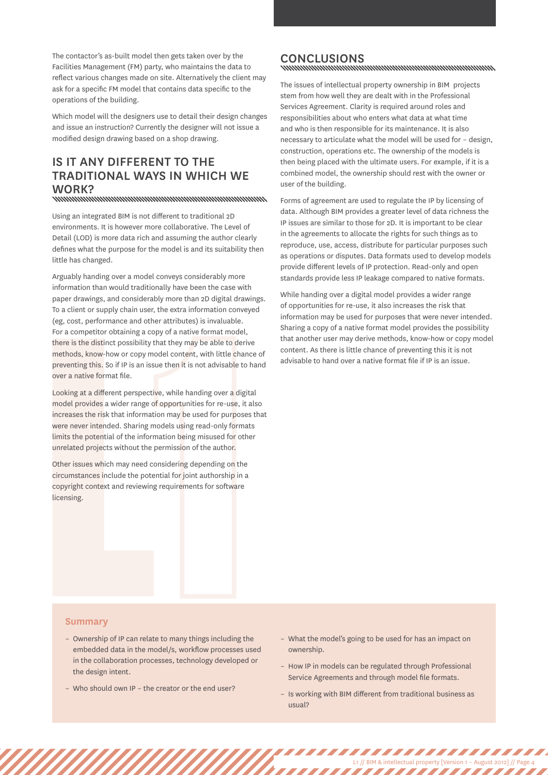The contactor's as-built model then gets taken over by the Facilities Management (FM) party, who maintains the data to reflect various changes made on site. Alternatively the client may ask for a specific FM model that contains data specific to the operations of the building.

Which model will the designers use to detail their design changes and issue an instruction? Currently the designer will not issue a modified design drawing based on a shop drawing.

# Is it any different to the traditional ways in which we work?

Using an integrated BIM is not different to traditional 2D environments. It is however more collaborative. The Level of Detail (LOD) is more data rich and assuming the author clearly defines what the purpose for the model is and its suitability then little has changed.

Arguably handing over a model conveys considerably more information than would traditionally have been the case with paper drawings, and considerably more than 2D digital drawings. To a client or supply chain user, the extra information conveyed (eg, cost, performance and other attributes) is invaluable. For a competitor obtaining a copy of a native format model, there is the distinct possibility that they may be able to derive methods, know-how or copy model content, with little chance of preventing this. So if IP is an issue then it is not advisable to hand over a native format file.

there is the distinct possibility th<br>methods, know-how or copy mot<br>preventing this. So if IP is an issue<br>over a native format file.<br>Looking at a different perspective<br>model provides a wider range of<br>increases the risk that Looking at a different perspective, while handing over a digital model provides a wider range of opportunities for re-use, it also increases the risk that information may be used for purposes that were never intended. Sharing models using read-only formats limits the potential of the information being misused for other unrelated projects without the permission of the author.

Other issues which may need considering depending on the circumstances include the potential for joint authorship in a copyright context and reviewing requirements for software licensing.

# CONCLUSIONS<br>www.www.www.www.www.www.www.www.www.

The issues of intellectual property ownership in BIM projects stem from how well they are dealt with in the Professional Services Agreement. Clarity is required around roles and responsibilities about who enters what data at what time and who is then responsible for its maintenance. It is also necessary to articulate what the model will be used for – design, construction, operations etc. The ownership of the models is then being placed with the ultimate users. For example, if it is a combined model, the ownership should rest with the owner or user of the building.

Forms of agreement are used to regulate the IP by licensing of data. Although BIM provides a greater level of data richness the IP issues are similar to those for 2D. It is important to be clear in the agreements to allocate the rights for such things as to reproduce, use, access, distribute for particular purposes such as operations or disputes. Data formats used to develop models provide different levels of IP protection. Read-only and open standards provide less IP leakage compared to native formats.

While handing over a digital model provides a wider range of opportunities for re-use, it also increases the risk that information may be used for purposes that were never intended. Sharing a copy of a native format model provides the possibility that another user may derive methods, know-how or copy model content. As there is little chance of preventing this it is not advisable to hand over a native format file if IP is an issue.

#### **Summary**

- Ownership of IP can relate to many things including the embedded data in the model/s, workflow processes used in the collaboration processes, technology developed or the design intent.
- Who should own IP the creator or the end user?
- What the model's going to be used for has an impact on ownership.
- How IP in models can be regulated through Professional Service Agreements and through model file formats.
- Is working with BIM different from traditional business as usual?

L1 // BIM & intellectual property [Version 1 – August 2012] // Page 4

,,,,,,,,,,,,,,,,,,,,,,,,,

,,,,,,,,,,,,,,,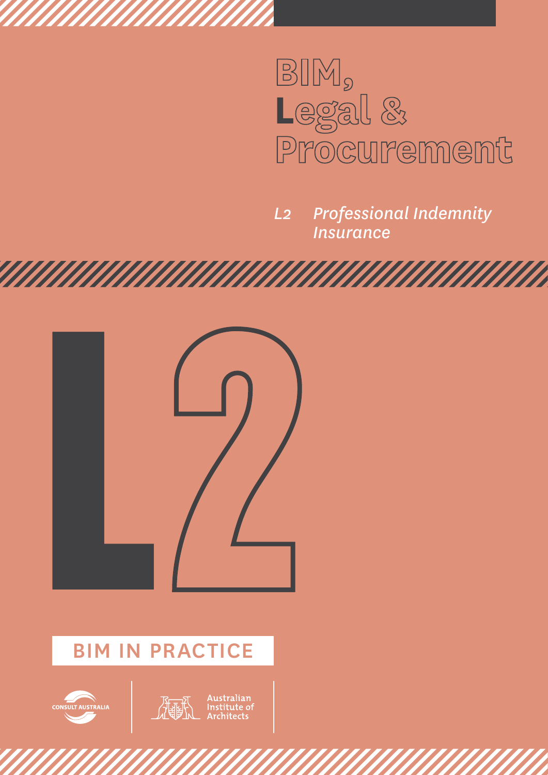

*L2 Professional Indemnity Insurance* 



anananananananan

# BIM IN PRACTICE



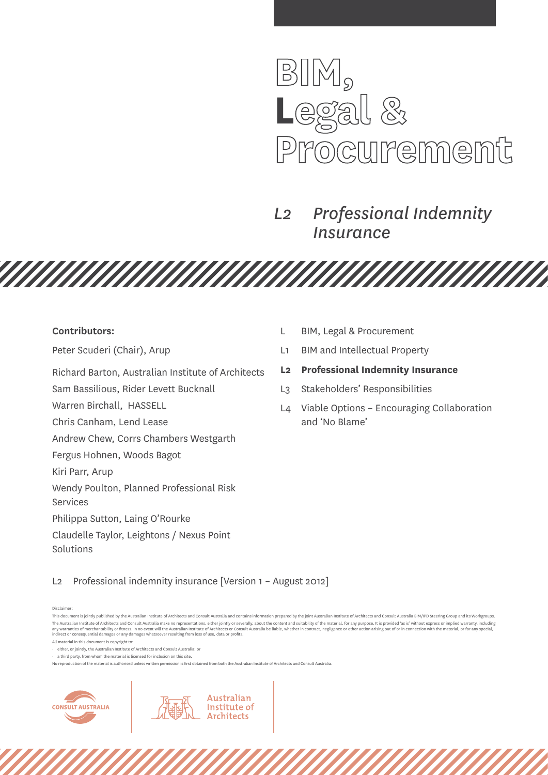

# *L2 Professional Indemnity Insurance*

<u>TAN MANAMAN MANAMAN MANAMAN M</u>

#### **Contributors:**

Peter Scuderi (Chair), Arup

Richard Barton, Australian Institute of Architects

Sam Bassilious, Rider Levett Bucknall

Warren Birchall, HASSELL

Chris Canham, Lend Lease

Andrew Chew, Corrs Chambers Westgarth

Fergus Hohnen, Woods Bagot

Kiri Parr, Arup

Wendy Poulton, Planned Professional Risk

Services

Philippa Sutton, Laing O'Rourke

Claudelle Taylor, Leightons / Nexus Point Solutions

- L BIM, Legal & Procurement
- L1 BIM and Intellectual Property
- **L2 Professional Indemnity Insurance**
- L3 Stakeholders' Responsibilities
- L4 Viable Options Encouraging Collaboration and 'No Blame'

L2 Professional indemnity insurance [Version 1 – August 2012]

Disclaimer:

All material in this document is copyright to:

 $\cdot$  a third party, from whom the material is licensed for inclusion on this site.

Australian

Institute of **Architects** 



This document is jointly published by the Australian Institute of Architects and Consult Australia and contains information prepared by the joint Australian Institute of Architects and Consult Australia BIM/IPD Steering Gr The Australian Institute of Architects and Consult Australia make no representations, either iointly or severally, about the content and suitability of the material, for any purpose, It is provided 'as is' without express any warranties of merchantability or fitness. In no event will the Australian Institute of Architects or Consult Australia be liable, whether in contract, negligence or other action arising out of or in connection with the

<sup>•</sup> either, or jointly, the Australian Institute of Architects and Consult Australia; or

No reproduction of the material is authorised unless written permission is first obtained from both the Australian Institute of Architects and Consult Australia.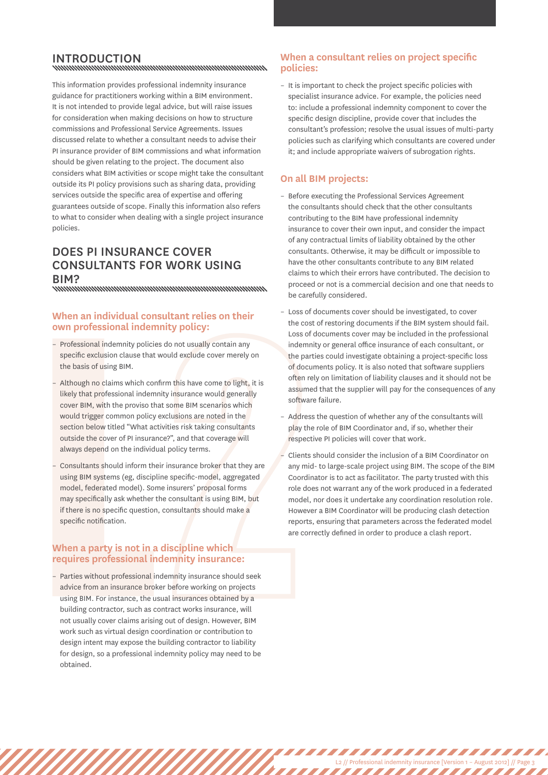# INTRODUCTION<br>www.www.www.www.www.www.www.www.ww

This information provides professional indemnity insurance guidance for practitioners working within a BIM environment. It is not intended to provide legal advice, but will raise issues for consideration when making decisions on how to structure commissions and Professional Service Agreements. Issues discussed relate to whether a consultant needs to advise their PI insurance provider of BIM commissions and what information should be given relating to the project. The document also considers what BIM activities or scope might take the consultant outside its PI policy provisions such as sharing data, providing services outside the specific area of expertise and offering guarantees outside of scope. Finally this information also refers to what to consider when dealing with a single project insurance policies.

# Does PI insurance cover consultants for work using BIM?<br>www.www.www.www.www.www.www.www.www.

## **When an individual consultant relies on their own professional indemnity policy:**

- Professional indemnity policies do not usually contain any specific exclusion clause that would exclude cover merely on the basis of using BIM.
- Although no claims which confirm this have come to light, it is likely that professional indemnity insurance would generally cover BIM, with the proviso that some BIM scenarios which would trigger common policy exclusions are noted in the section below titled "What activities risk taking consultants outside the cover of PI insurance?", and that coverage will always depend on the individual policy terms.
- Consultants should inform their insurance broker that they are using BIM systems (eg, discipline specific-model, aggregated model, federated model). Some insurers' proposal forms may specifically ask whether the consultant is using BIM, but if there is no specific question, consultants should make a specific notification.

#### **When a party is not in a discipline which requires professional indemnity insurance:**

- Professional indemnity policies<br>specific exclusion clause that v<br>the basis of using BIM.<br>- Although no claims which conficient the basis of using BIM.<br>- Although no claims which conficient to the would trigger common pol – Parties without professional indemnity insurance should seek advice from an insurance broker before working on projects using BIM. For instance, the usual insurances obtained by a building contractor, such as contract works insurance, will not usually cover claims arising out of design. However, BIM work such as virtual design coordination or contribution to design intent may expose the building contractor to liability for design, so a professional indemnity policy may need to be obtained.

## **When a consultant relies on project specific policies:**

– It is important to check the project specific policies with specialist insurance advice. For example, the policies need to: include a professional indemnity component to cover the specific design discipline, provide cover that includes the consultant's profession; resolve the usual issues of multi-party policies such as clarifying which consultants are covered under it; and include appropriate waivers of subrogation rights.

## **On all BIM projects:**

- Before executing the Professional Services Agreement the consultants should check that the other consultants contributing to the BIM have professional indemnity insurance to cover their own input, and consider the impact of any contractual limits of liability obtained by the other consultants. Otherwise, it may be difficult or impossible to have the other consultants contribute to any BIM related claims to which their errors have contributed. The decision to proceed or not is a commercial decision and one that needs to be carefully considered.
- Loss of documents cover should be investigated, to cover the cost of restoring documents if the BIM system should fail. Loss of documents cover may be included in the professional indemnity or general office insurance of each consultant, or the parties could investigate obtaining a project-specific loss of documents policy. It is also noted that software suppliers often rely on limitation of liability clauses and it should not be assumed that the supplier will pay for the consequences of any software failure.
- Address the question of whether any of the consultants will play the role of BIM Coordinator and, if so, whether their respective PI policies will cover that work.
- Clients should consider the inclusion of a BIM Coordinator on any mid- to large-scale project using BIM. The scope of the BIM Coordinator is to act as facilitator. The party trusted with this role does not warrant any of the work produced in a federated model, nor does it undertake any coordination resolution role. However a BIM Coordinator will be producing clash detection reports, ensuring that parameters across the federated model are correctly defined in order to produce a clash report.

L2 // Professional indemnity insurance [Version 1 – August 2012] // Page 3

,,,,,,,,,,,,,,,,,,,,,,,,

,,,,,,,,,,,,,,,,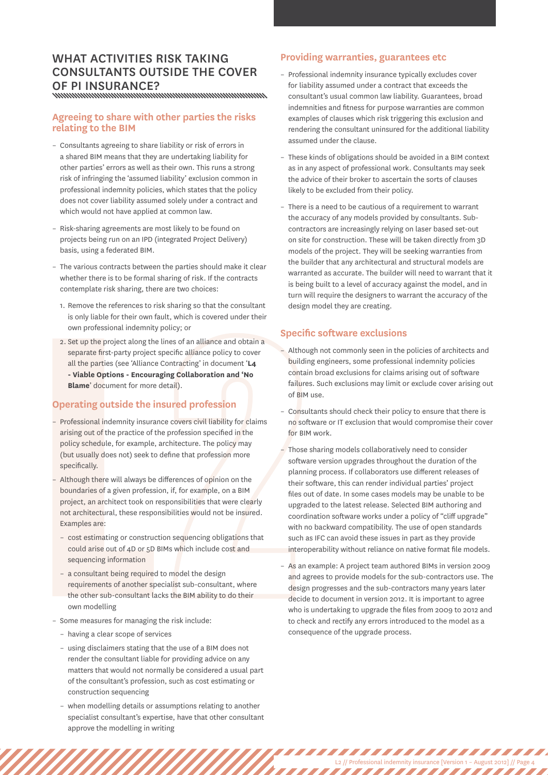# WHAT ACTIVITIES RISK TAKING consultants outside the cover of PI insurance?

#### **Agreeing to share with other parties the risks relating to the BIM**

- Consultants agreeing to share liability or risk of errors in a shared BIM means that they are undertaking liability for other parties' errors as well as their own. This runs a strong risk of infringing the 'assumed liability' exclusion common in professional indemnity policies, which states that the policy does not cover liability assumed solely under a contract and which would not have applied at common law.
- Risk-sharing agreements are most likely to be found on projects being run on an IPD (integrated Project Delivery) basis, using a federated BIM.
- The various contracts between the parties should make it clear whether there is to be formal sharing of risk. If the contracts contemplate risk sharing, there are two choices:
	- 1. Remove the references to risk sharing so that the consultant is only liable for their own fault, which is covered under their own professional indemnity policy; or
	- 2. Set up the project along the lines of an alliance and obtain a separate first-party project specific alliance policy to cover all the parties (see 'Alliance Contracting' in document '**L4 - Viable Options - Encouraging Collaboration and 'No Blame**' document for more detail).

## **Operating outside the insured profession**

- 2. Set up the project along the<br>separate first-party project sall the parties (see 'Alliance<br>
 **Viable Options Encoura**<br> **Blame' document for more of Operating out side the in**<br>
 Professional indemnity insuran<br>
arisin – Professional indemnity insurance covers civil liability for claims arising out of the practice of the profession specified in the policy schedule, for example, architecture. The policy may (but usually does not) seek to define that profession more specifically.
	- Although there will always be differences of opinion on the boundaries of a given profession, if, for example, on a BIM project, an architect took on responsibilities that were clearly not architectural, these responsibilities would not be insured. Examples are:
		- cost estimating or construction sequencing obligations that could arise out of 4D or 5D BIMs which include cost and sequencing information
		- a consultant being required to model the design requirements of another specialist sub-consultant, where the other sub-consultant lacks the BIM ability to do their own modelling
	- Some measures for managing the risk include:
		- having a clear scope of services
		- using disclaimers stating that the use of a BIM does not render the consultant liable for providing advice on any matters that would not normally be considered a usual part of the consultant's profession, such as cost estimating or construction sequencing
		- when modelling details or assumptions relating to another specialist consultant's expertise, have that other consultant approve the modelling in writing

#### **Providing warranties, guarantees etc**

- Professional indemnity insurance typically excludes cover for liability assumed under a contract that exceeds the consultant's usual common law liability. Guarantees, broad indemnities and fitness for purpose warranties are common examples of clauses which risk triggering this exclusion and rendering the consultant uninsured for the additional liability assumed under the clause.
- These kinds of obligations should be avoided in a BIM context as in any aspect of professional work. Consultants may seek the advice of their broker to ascertain the sorts of clauses likely to be excluded from their policy.
- There is a need to be cautious of a requirement to warrant the accuracy of any models provided by consultants. Subcontractors are increasingly relying on laser based set-out on site for construction. These will be taken directly from 3D models of the project. They will be seeking warranties from the builder that any architectural and structural models are warranted as accurate. The builder will need to warrant that it is being built to a level of accuracy against the model, and in turn will require the designers to warrant the accuracy of the design model they are creating.

#### **Specific software exclusions**

- Although not commonly seen in the policies of architects and building engineers, some professional indemnity policies contain broad exclusions for claims arising out of software failures. Such exclusions may limit or exclude cover arising out of BIM use.
- Consultants should check their policy to ensure that there is no software or IT exclusion that would compromise their cover for BIM work.
- Those sharing models collaboratively need to consider software version upgrades throughout the duration of the planning process. If collaborators use different releases of their software, this can render individual parties' project files out of date. In some cases models may be unable to be upgraded to the latest release. Selected BIM authoring and coordination software works under a policy of "cliff upgrade" with no backward compatibility. The use of open standards such as IFC can avoid these issues in part as they provide interoperability without reliance on native format file models.
- As an example: A project team authored BIMs in version 2009 and agrees to provide models for the sub-contractors use. The design progresses and the sub-contractors many years later decide to document in version 2012. It is important to agree who is undertaking to upgrade the files from 2009 to 2012 and to check and rectify any errors introduced to the model as a consequence of the upgrade process.

L2 // Professional indemnity insurance [Version 1 – August 2012] // Page 4

,,,,,,,,,,,,,,,,

,,,,,,,,,,,,,,,,,,,,,,,,,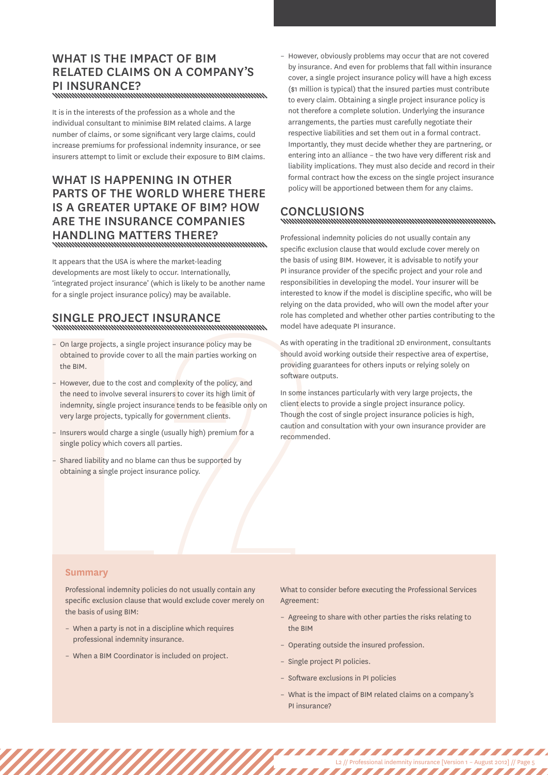# WHAT IS THE IMPACT OF BIM related claims on a company's PI insurance?

It is in the interests of the profession as a whole and the individual consultant to minimise BIM related claims. A large number of claims, or some significant very large claims, could increase premiums for professional indemnity insurance, or see insurers attempt to limit or exclude their exposure to BIM claims.

## WHAT IS HAPPENING IN OTHER parts of the world where there is a greater uptake of BIM? How are the insurance companies handling matters there?

It appears that the USA is where the market-leading developments are most likely to occur. Internationally, 'integrated project insurance' (which is likely to be another name for a single project insurance policy) may be available.

# SINGLE PROJECT INSURANCE

- On large projects, a single project insurance policy may be obtained to provide cover to all the main parties working on the BIM.
- On large projects, a single projobtained to provide cover to al<br>the BIM.<br>However, due to the cost and chementary, single project insure<br>very large projects, typically for<br>However and project insure<br>very large projects, t – However, due to the cost and complexity of the policy, and the need to involve several insurers to cover its high limit of indemnity, single project insurance tends to be feasible only on very large projects, typically for government clients.
	- Insurers would charge a single (usually high) premium for a single policy which covers all parties.
	- Shared liability and no blame can thus be supported by obtaining a single project insurance policy.

– However, obviously problems may occur that are not covered by insurance. And even for problems that fall within insurance cover, a single project insurance policy will have a high excess (\$1 million is typical) that the insured parties must contribute to every claim. Obtaining a single project insurance policy is not therefore a complete solution. Underlying the insurance arrangements, the parties must carefully negotiate their respective liabilities and set them out in a formal contract. Importantly, they must decide whether they are partnering, or entering into an alliance – the two have very different risk and liability implications. They must also decide and record in their formal contract how the excess on the single project insurance policy will be apportioned between them for any claims.

# CONCLUSIONS<br>www.manumumumumumumumumumumumum

Professional indemnity policies do not usually contain any specific exclusion clause that would exclude cover merely on the basis of using BIM. However, it is advisable to notify your PI insurance provider of the specific project and your role and responsibilities in developing the model. Your insurer will be interested to know if the model is discipline specific, who will be relying on the data provided, who will own the model after your role has completed and whether other parties contributing to the model have adequate PI insurance.

As with operating in the traditional 2D environment, consultants should avoid working outside their respective area of expertise, providing guarantees for others inputs or relying solely on software outputs.

In some instances particularly with very large projects, the client elects to provide a single project insurance policy. Though the cost of single project insurance policies is high, caution and consultation with your own insurance provider are recommended.

## **Summary**

Professional indemnity policies do not usually contain any specific exclusion clause that would exclude cover merely on the basis of using BIM:

- When a party is not in a discipline which requires professional indemnity insurance.
- When a BIM Coordinator is included on project.

What to consider before executing the Professional Services Agreement:

- Agreeing to share with other parties the risks relating to the BIM
- Operating outside the insured profession.
- Single project PI policies.
- Software exclusions in PI policies
- What is the impact of BIM related claims on a company's PI insurance?

L2 // Professional indemnity insurance [Version 1 – August 2012] // Page 5

,,,,,,,,,,,,,,,,,,,,,,,,,

,,,,,,,,,,,,,,,,,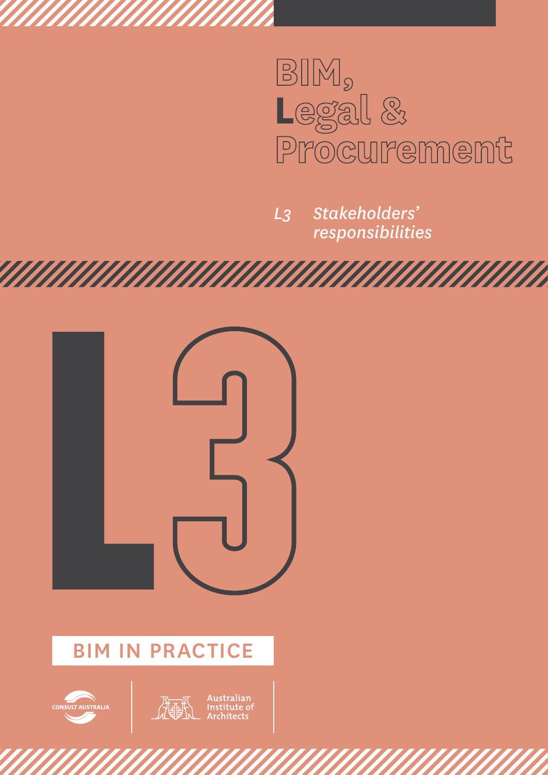

*L3 Stakeholders' responsibilities*



# BIM IN PRACTICE

![](_page_12_Picture_4.jpeg)

![](_page_12_Picture_5.jpeg)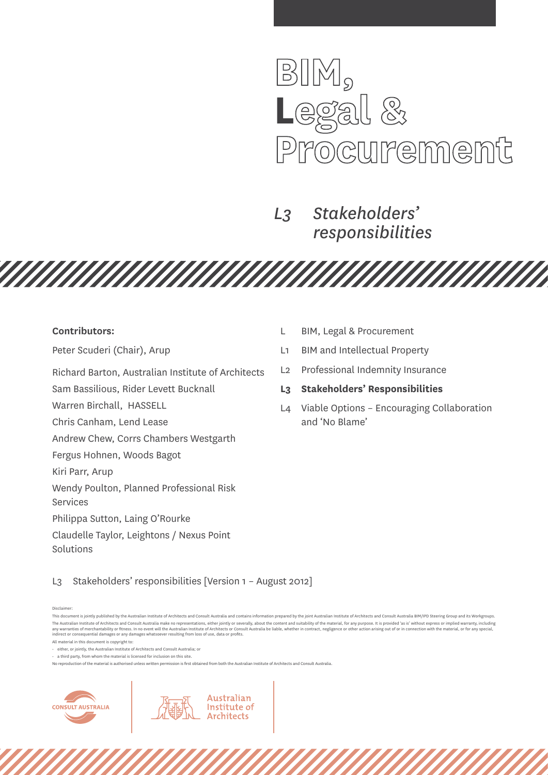![](_page_13_Picture_0.jpeg)

*MAHAHAHA* 

*L3 Stakeholders' responsibilities*

#### **Contributors:**

Peter Scuderi (Chair), Arup

Richard Barton, Australian Institute of Architects

*MAHAHAHAHAHAHAHAHA* 

Sam Bassilious, Rider Levett Bucknall

Warren Birchall, HASSELL

Chris Canham, Lend Lease

Andrew Chew, Corrs Chambers Westgarth

Fergus Hohnen, Woods Bagot

Kiri Parr, Arup

Wendy Poulton, Planned Professional Risk

Services

Philippa Sutton, Laing O'Rourke

Claudelle Taylor, Leightons / Nexus Point Solutions

- L BIM, Legal & Procurement
- L1 BIM and Intellectual Property
- L2 Professional Indemnity Insurance
- **L3 Stakeholders' Responsibilities**
- L4 Viable Options Encouraging Collaboration and 'No Blame'

L3 Stakeholders' responsibilities [Version 1 – August 2012]

Disclaimer:

All material in this document is copyright to:

• either, or jointly, the Australian Institute of Architects and Consult Australia; or

 $\cdot$  a third party, from whom the material is licensed for inclusion on this site.

No reproduction of the material is authorised unless written permission is first obtained from both the Australian Institute of Architects and Consult Australia.

Australian

Institute of **Architects** 

![](_page_13_Picture_27.jpeg)

This document is jointly published by the Australian Institute of Architects and Consult Australia and contains information prepared by the joint Australian Institute of Architects and Consult Australia BIM/IPD Steering Gr The Australian Institute of Architects and Consult Australia make no representations, either iointly or severally, about the content and suitability of the material, for any purpose, It is provided 'as is' without express any warranties of merchantability or fitness. In no event will the Australian Institute of Architects or Consult Australia be liable, whether in contract, negligence or other action arising out of or in connection with the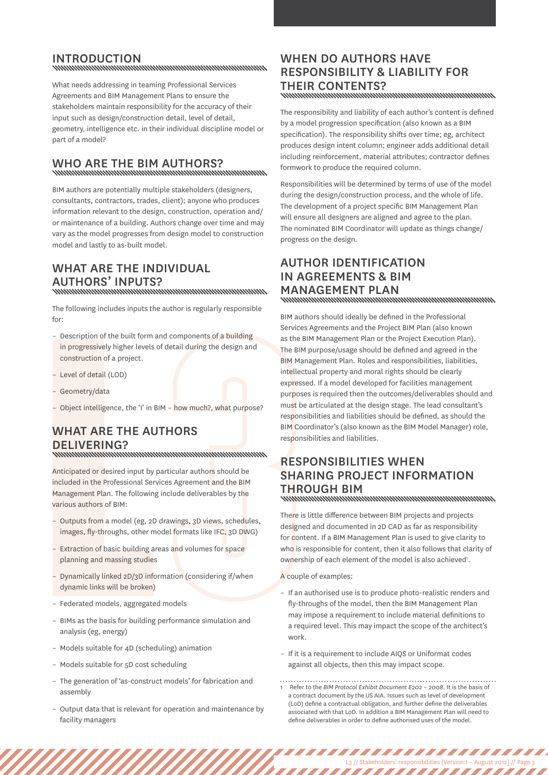# INTRODUCTION<br>www.www.www.www.www.www.www.www.ww

What needs addressing in teaming Professional Services

Agreements and BIM Management Plans to ensure the stakeholders maintain responsibility for the accuracy of their input such as design/construction detail, level of detail, geometry, intelligence etc. in their individual discipline model or part of a model?

# Who are the BIM authors?

BIM authors are potentially multiple stakeholders (designers, consultants, contractors, trades, client); anyone who produces information relevant to the design, construction, operation and/ or maintenance of a building. Authors change over time and may vary as the model progresses from design model to construction model and lastly to as-built model.

# WHAT ARE THE INDIVIDUAL authors' inputs?

The following includes inputs the author is regularly responsible for:

- Description of the built form and components of a building in progressively higher levels of detail during the design and construction of a project.
- Level of detail (LOD)
- Geometry/data
- Object intelligence, the 'I' in BIM how much?, what purpose?

# What are the authors DELIVERING?<br>www.www.www.www.www.www.www.www.ww

L Anticipated or desired input by particular authors should be included in the Professional Services Agreement and the BIM Management Plan. The following include deliverables by the various authors of BIM:

- Outputs from a model (eg, 2D drawings, 3D views, schedules, images, fly-throughs, other model formats like IFC, 3D DWG)
- Extraction of basic building areas and volumes for space planning and massing studies
- Dynamically linked 2D/3D information (considering if/when dynamic links will be broken)
- Federated models, aggregated models
- BIMs as the basis for building performance simulation and analysis (eg, energy)
- Models suitable for 4D (scheduling) animation
- Models suitable for 5D cost scheduling
- The generation of 'as-construct models' for fabrication and assembly
- Output data that is relevant for operation and maintenance by facility managers

# WHEN DO AUTHORS HAVE responsibility & liability for THEIR CONTENTS?<br>www.www.www.www.www.www.www.www.www.w

The responsibility and liability of each author's content is defined by a model progression specification (also known as a BIM specification). The responsibility shifts over time; eg, architect produces design intent column; engineer adds additional detail including reinforcement, material attributes; contractor defines formwork to produce the required column.

Responsibilities will be determined by terms of use of the model during the design/construction process, and the whole of life. The development of a project specific BIM Management Plan will ensure all designers are aligned and agree to the plan. The nominated BIM Coordinator will update as things change/ progress on the design.

# Author identification in agreements & BIM Management Plan

BIM authors should ideally be defined in the Professional Services Agreements and the Project BIM Plan (also known as the BIM Management Plan or the Project Execution Plan). The BIM purpose/usage should be defined and agreed in the BIM Management Plan. Roles and responsibilities, liabilities, intellectual property and moral rights should be clearly expressed. If a model developed for facilities management purposes is required then the outcomes/deliverables should and must be articulated at the design stage. The lead consultant's responsibilities and liabilities should be defined, as should the BIM Coordinator's (also known as the BIM Model Manager) role, responsibilities and liabilities.

# Responsibilities when sharing project information THROUGH BIM<br>www.www.www.www.www.www.www.www.www.

There is little difference between BIM projects and projects designed and documented in 2D CAD as far as responsibility for content. If a BIM Management Plan is used to give clarity to who is responsible for content, then it also follows that clarity of ownership of each element of the model is also achieved'.

A couple of examples:

- If an authorised use is to produce photo-realistic renders and fly-throughs of the model, then the BIM Management Plan may impose a requirement to include material definitions to a required level. This may impact the scope of the architect's work.
- If it is a requirement to include AIQS or Uniformat codes against all objects, then this may impact scope.
- 1 Refer to the *BIM Protocol Exhibit Document E202 – 2008*. It is the basis of a contract document by the US AIA. Issues such as level of development (LoD) define a contractual obligation, and further define the deliverables associated with that LoD. In addition a BIM Management Plan will need to define deliverables in order to define authorised uses of the model.

L3 // Stakeholders' responsibilities [Version 1 – August 2012] // Page 3

,,,,,,,,,,,,,,,,,,,

,,,,,,,,,,,,,,,,,,,,,,,,,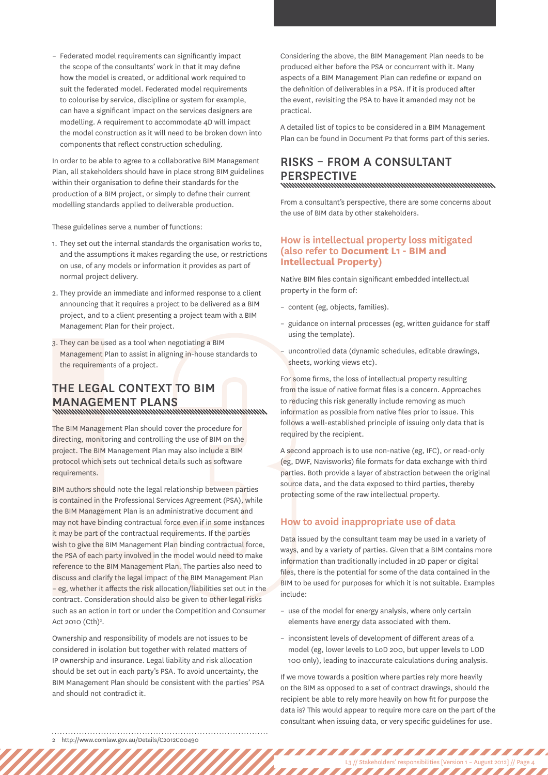– Federated model requirements can significantly impact the scope of the consultants' work in that it may define how the model is created, or additional work required to suit the federated model. Federated model requirements to colourise by service, discipline or system for example, can have a significant impact on the services designers are modelling. A requirement to accommodate 4D will impact the model construction as it will need to be broken down into components that reflect construction scheduling.

In order to be able to agree to a collaborative BIM Management Plan, all stakeholders should have in place strong BIM guidelines within their organisation to define their standards for the production of a BIM project, or simply to define their current modelling standards applied to deliverable production.

These guidelines serve a number of functions:

- 1. They set out the internal standards the organisation works to, and the assumptions it makes regarding the use, or restrictions on use, of any models or information it provides as part of normal project delivery.
- 2. They provide an immediate and informed response to a client announcing that it requires a project to be delivered as a BIM project, and to a client presenting a project team with a BIM Management Plan for their project.
- 3. They can be used as a tool when negotiating a BIM Management Plan to assist in aligning in-house standards to the requirements of a project.

# The legal context to BIM MANAGEMENT PLANS

The BIM Management Plan should cover the procedure for directing, monitoring and controlling the use of BIM on the project. The BIM Management Plan may also include a BIM protocol which sets out technical details such as software requirements.

L BIM authors should note the legal relationship between parties is contained in the Professional Services Agreement (PSA), while the BIM Management Plan is an administrative document and may not have binding contractual force even if in some instances it may be part of the contractual requirements. If the parties wish to give the BIM Management Plan binding contractual force, the PSA of each party involved in the model would need to make reference to the BIM Management Plan. The parties also need to discuss and clarify the legal impact of the BIM Management Plan – eg, whether it affects the risk allocation/liabilities set out in the contract. Consideration should also be given to other legal risks such as an action in tort or under the Competition and Consumer Act 2010  $(Cth)^2$ .

Ownership and responsibility of models are not issues to be considered in isolation but together with related matters of IP ownership and insurance. Legal liability and risk allocation should be set out in each party's PSA. To avoid uncertainty, the BIM Management Plan should be consistent with the parties' PSA and should not contradict it.

Considering the above, the BIM Management Plan needs to be produced either before the PSA or concurrent with it. Many aspects of a BIM Management Plan can redefine or expand on the definition of deliverables in a PSA. If it is produced after the event, revisiting the PSA to have it amended may not be practical.

A detailed list of topics to be considered in a BIM Management Plan can be found in Document P2 that forms part of this series.

# Risks – from a consultant PERSPECTIVE<br>www.www.www.www.www.www.www.www.ww

From a consultant's perspective, there are some concerns about the use of BIM data by other stakeholders.

#### **How is intellectual property loss mitigated (also refer to Document L1 - BIM and Intellectual Property)**

Native BIM files contain significant embedded intellectual property in the form of:

- content (eg, objects, families).
- guidance on internal processes (eg, written guidance for staff using the template).
- uncontrolled data (dynamic schedules, editable drawings, sheets, working views etc).

For some firms, the loss of intellectual property resulting from the issue of native format files is a concern. Approaches to reducing this risk generally include removing as much information as possible from native files prior to issue. This follows a well-established principle of issuing only data that is required by the recipient.

A second approach is to use non-native (eg, IFC), or read-only (eg, DWF, Navisworks) file formats for data exchange with third parties. Both provide a layer of abstraction between the original source data, and the data exposed to third parties, thereby protecting some of the raw intellectual property.

#### **How to avoid inappropriate use of data**

Data issued by the consultant team may be used in a variety of ways, and by a variety of parties. Given that a BIM contains more information than traditionally included in 2D paper or digital files, there is the potential for some of the data contained in the BIM to be used for purposes for which it is not suitable. Examples include:

- use of the model for energy analysis, where only certain elements have energy data associated with them.
- inconsistent levels of development of different areas of a model (eg, lower levels to LoD 200, but upper levels to LOD 100 only), leading to inaccurate calculations during analysis.

If we move towards a position where parties rely more heavily on the BIM as opposed to a set of contract drawings, should the recipient be able to rely more heavily on how fit for purpose the data is? This would appear to require more care on the part of the consultant when issuing data, or very specific guidelines for use.

L3 // Stakeholders' responsibilities [Version 1 – August 2012] // Page 4

,,,,,,,,,,,,,,,,,,,

,,,,,,,,,,,,,,,,,,,,,,,,,,

<sup>2</sup> http://www.comlaw.gov.au/Details/C2012C00490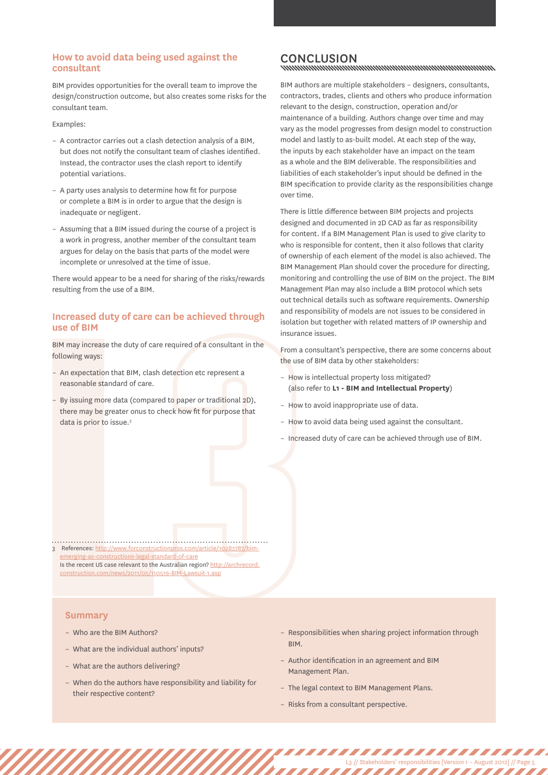#### **How to avoid data being used against the consultant**

BIM provides opportunities for the overall team to improve the design/construction outcome, but also creates some risks for the consultant team.

#### Examples:

- A contractor carries out a clash detection analysis of a BIM, but does not notify the consultant team of clashes identified. Instead, the contractor uses the clash report to identify potential variations.
- A party uses analysis to determine how fit for purpose or complete a BIM is in order to argue that the design is inadequate or negligent.
- Assuming that a BIM issued during the course of a project is a work in progress, another member of the consultant team argues for delay on the basis that parts of the model were incomplete or unresolved at the time of issue.

There would appear to be a need for sharing of the risks/rewards resulting from the use of a BIM.

#### **Increased duty of care can be achieved through use of BIM**

BIM may increase the duty of care required of a consultant in the following ways:

- An expectation that BIM, clash detection etc represent a reasonable standard of care.
- BIM may increase the duty of carc<br>following ways:<br>- An expectation that BIM, clash<br>reasonable standard of care.<br>- By issuing more data (compare<br>there may be greater onus to c<br>data is prior to issue.<sup>3</sup><br>data is prior to iss – By issuing more data (compared to paper or traditional 2D), there may be greater onus to check how fit for purpose that data is prior to issue.<sup>3</sup>

# CONCLUSION<br>http://www.com/www.com/www.com/www.com/www.com/www.com/www.com/www.com/www.com/w

BIM authors are multiple stakeholders – designers, consultants, contractors, trades, clients and others who produce information relevant to the design, construction, operation and/or maintenance of a building. Authors change over time and may vary as the model progresses from design model to construction model and lastly to as-built model. At each step of the way, the inputs by each stakeholder have an impact on the team as a whole and the BIM deliverable. The responsibilities and liabilities of each stakeholder's input should be defined in the BIM specification to provide clarity as the responsibilities change over time.

There is little difference between BIM projects and projects designed and documented in 2D CAD as far as responsibility for content. If a BIM Management Plan is used to give clarity to who is responsible for content, then it also follows that clarity of ownership of each element of the model is also achieved. The BIM Management Plan should cover the procedure for directing, monitoring and controlling the use of BIM on the project. The BIM Management Plan may also include a BIM protocol which sets out technical details such as software requirements. Ownership and responsibility of models are not issues to be considered in isolation but together with related matters of IP ownership and insurance issues.

From a consultant's perspective, there are some concerns about the use of BIM data by other stakeholders:

- How is intellectual property loss mitigated? (also refer to **L1 - BIM and Intellectual Property**)
- How to avoid inappropriate use of data.
- How to avoid data being used against the consultant.
- Increased duty of care can be achieved through use of BIM.

3 References: [http://www.forconstructionpros.com/article/10283787/bim](http://www.forconstructionpros.com/article/10283787/bim-emerging-as-constructions-legal-standard-of-care)ng-as-constructions-legal-standard-of-care Is the recent US case relevant to the Australian region? [http://archrecord.](http://archrecord.construction.com/news/2011/05/110519-BIM-Lawsuit-1.asp) [construction.com/news/2011/05/110519-BIM-Lawsuit-1.asp](http://archrecord.construction.com/news/2011/05/110519-BIM-Lawsuit-1.asp)

#### **Summary**

- Who are the BIM Authors?
- What are the individual authors' inputs?
- What are the authors delivering?
- When do the authors have responsibility and liability for their respective content?
- Responsibilities when sharing project information through BIM.

L3 // Stakeholders' responsibilities [Version 1 – August 2012] // Page 5

,,,,,,,,,,,,,,,,,,,,,,,

- Author identification in an agreement and BIM Management Plan.
- The legal context to BIM Management Plans.
- Risks from a consultant perspective.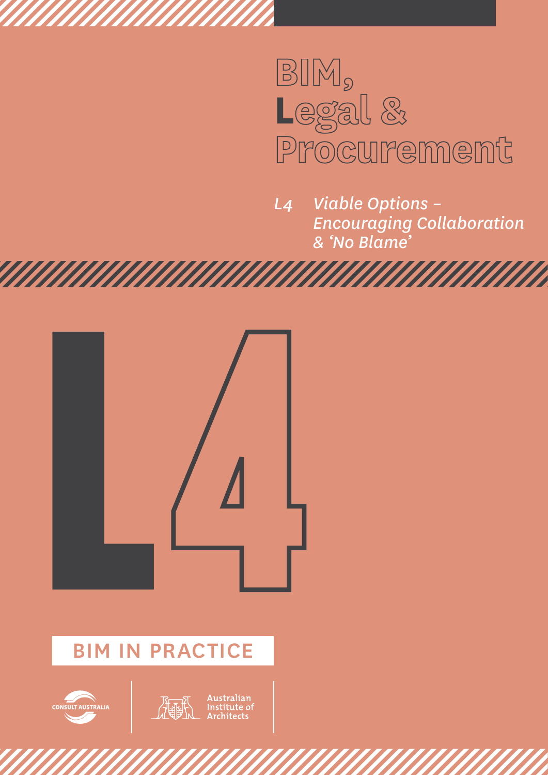![](_page_17_Picture_0.jpeg)

*L4 Viable Options – Encouraging Collaboration & 'No Blame'*

![](_page_17_Picture_2.jpeg)

# BIM IN PRACTICE

![](_page_17_Picture_4.jpeg)

![](_page_17_Picture_5.jpeg)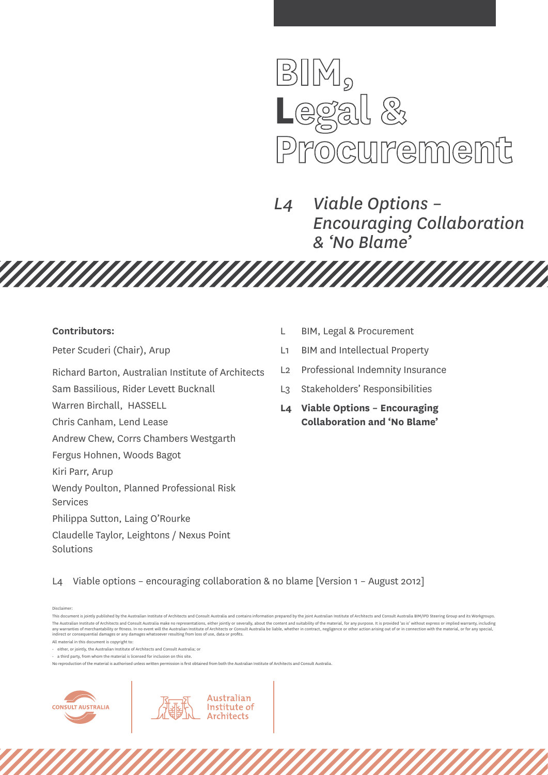![](_page_18_Picture_0.jpeg)

*L4 Viable Options – Encouraging Collaboration & 'No Blame'*

*MAHAHAHA* 

#### **Contributors:**

Peter Scuderi (Chair), Arup

Richard Barton, Australian Institute of Architects

**TARTA MANARA PER DI SEGRI PADA PER DI SEGRI PADA PER DI SEGRI PADA PER DI SEGRI PADA PER DI SEGRI PADA PER DI** 

Sam Bassilious, Rider Levett Bucknall

Warren Birchall, HASSELL

Chris Canham, Lend Lease

Andrew Chew, Corrs Chambers Westgarth

Fergus Hohnen, Woods Bagot

Kiri Parr, Arup

Wendy Poulton, Planned Professional Risk

Services

Philippa Sutton, Laing O'Rourke

Claudelle Taylor, Leightons / Nexus Point Solutions

- L BIM, Legal & Procurement
- L1 BIM and Intellectual Property
- L2 Professional Indemnity Insurance
- L3 Stakeholders' Responsibilities
- **L4 Viable Options Encouraging Collaboration and 'No Blame'**

L4 Viable options – encouraging collaboration & no blame [Version 1 – August 2012]

Australian

Institute of **Architects** 

Disclaimer:

No reproduction of the material is authorised unless written permission is first obtained from both the Australian Institute of Architects and Consult Australia.

![](_page_18_Picture_27.jpeg)

This document is jointly published by the Australian Institute of Architects and Consult Australia and contains information prepared by the joint Australian Institute of Architects and Consult Australia BIM/IPD Steering Gr The Australian Institute of Architects and Consult Australia make no representations, either jointly or severally, about the content and suitability of the material, for any purpose, It is provided 'as is' without express any warranties of merchantability or fitness. In no event will the Australian Institute of Architects or Consult Australia be liable, whether in contract, negligence or other action arising out of or in connection with the

All material in this document is copyright to:

<sup>•</sup> either, or jointly, the Australian Institute of Architects and Consult Australia; or

 $\cdot$  a third party, from whom the material is licensed for inclusion on this site.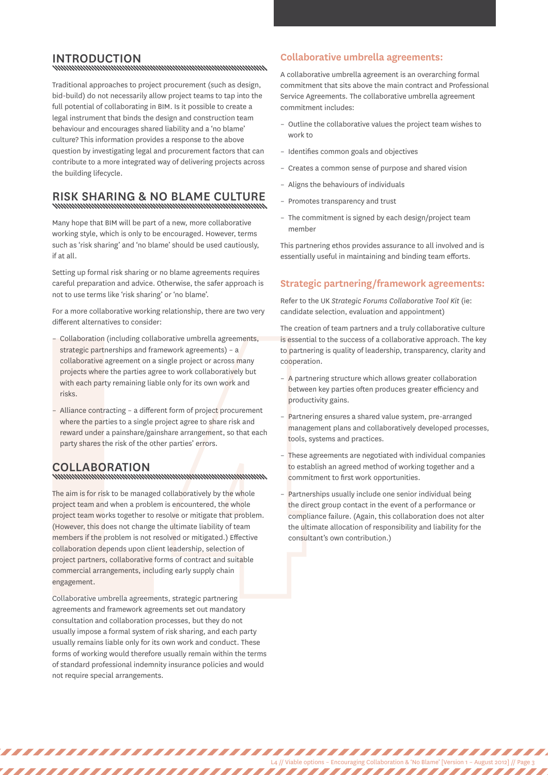# INTRODUCTION<br>www.www.www.www.www.www.www.www.ww

Traditional approaches to project procurement (such as design, bid-build) do not necessarily allow project teams to tap into the full potential of collaborating in BIM. Is it possible to create a legal instrument that binds the design and construction team behaviour and encourages shared liability and a 'no blame' culture? This information provides a response to the above question by investigating legal and procurement factors that can contribute to a more integrated way of delivering projects across the building lifecycle.

# Risk sharing & no blame culture

Many hope that BIM will be part of a new, more collaborative working style, which is only to be encouraged. However, terms such as 'risk sharing' and 'no blame' should be used cautiously, if at all.

Setting up formal risk sharing or no blame agreements requires careful preparation and advice. Otherwise, the safer approach is not to use terms like 'risk sharing' or 'no blame'.

For a more collaborative working relationship, there are two very different alternatives to consider:

- Collaboration (including collaborative umbrella agreements, strategic partnerships and framework agreements) – a collaborative agreement on a single project or across many projects where the parties agree to work collaboratively but with each party remaining liable only for its own work and risks.
- Alliance contracting a different form of project procurement where the parties to a single project agree to share risk and reward under a painshare/gainshare arrangement, so that each party shares the risk of the other parties' errors.

Collaboration

- Collaboration (Including collation strategic partnerships and frameollaborative agreement on a s projects where the parties agreement on a s projects where the parties agreement on a s projects where the parties to a sin The aim is for risk to be managed collaboratively by the whole project team and when a problem is encountered, the whole project team works together to resolve or mitigate that problem. (However, this does not change the ultimate liability of team members if the problem is not resolved or mitigated.) Effective collaboration depends upon client leadership, selection of project partners, collaborative forms of contract and suitable commercial arrangements, including early supply chain engagement.

Collaborative umbrella agreements, strategic partnering agreements and framework agreements set out mandatory consultation and collaboration processes, but they do not usually impose a formal system of risk sharing, and each party usually remains liable only for its own work and conduct. These forms of working would therefore usually remain within the terms of standard professional indemnity insurance policies and would not require special arrangements.

,,,,,,,,,,,,,,,,,,,,,,,,,,

## **Collaborative umbrella agreements:**

A collaborative umbrella agreement is an overarching formal commitment that sits above the main contract and Professional Service Agreements. The collaborative umbrella agreement commitment includes:

- Outline the collaborative values the project team wishes to work to
- Identifies common goals and objectives
- Creates a common sense of purpose and shared vision
- Aligns the behaviours of individuals
- Promotes transparency and trust
- The commitment is signed by each design/project team member

This partnering ethos provides assurance to all involved and is essentially useful in maintaining and binding team efforts.

## **Strategic partnering/framework agreements:**

Refer to the UK *Strategic Forums Collaborative Tool Kit* (ie: candidate selection, evaluation and appointment)

The creation of team partners and a truly collaborative culture is essential to the success of a collaborative approach. The key to partnering is quality of leadership, transparency, clarity and cooperation.

- A partnering structure which allows greater collaboration between key parties often produces greater efficiency and productivity gains.
- Partnering ensures a shared value system, pre-arranged management plans and collaboratively developed processes, tools, systems and practices.
- These agreements are negotiated with individual companies to establish an agreed method of working together and a commitment to first work opportunities.
- Partnerships usually include one senior individual being the direct group contact in the event of a performance or compliance failure. (Again, this collaboration does not alter the ultimate allocation of responsibility and liability for the consultant's own contribution.)

L4 // Viable options – Encouraging Collaboration & 'No Blame' [Version 1 – August 2012] // Page 3

,,,,,,,,,,,,,,,,,,,,,,,,,,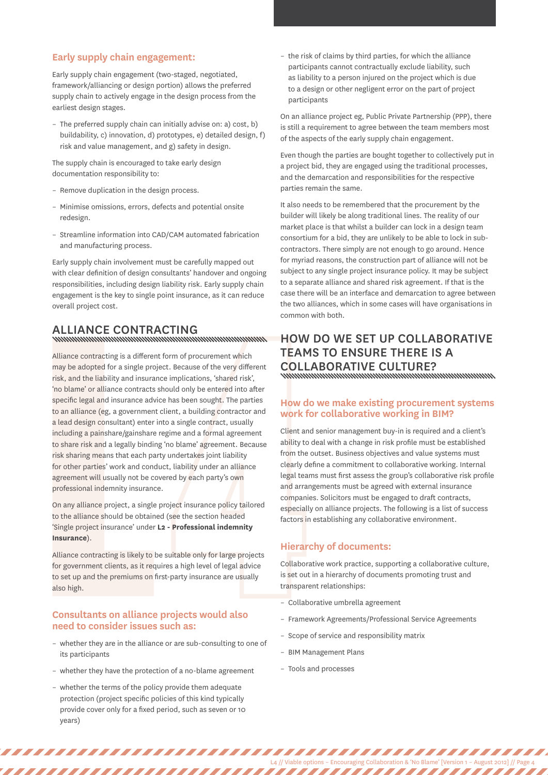#### **Early supply chain engagement:**

Early supply chain engagement (two-staged, negotiated, framework/alliancing or design portion) allows the preferred supply chain to actively engage in the design process from the earliest design stages.

– The preferred supply chain can initially advise on: a) cost, b) buildability, c) innovation, d) prototypes, e) detailed design, f) risk and value management, and g) safety in design.

The supply chain is encouraged to take early design documentation responsibility to:

- Remove duplication in the design process.
- Minimise omissions, errors, defects and potential onsite redesign.
- Streamline information into CAD/CAM automated fabrication and manufacturing process.

Early supply chain involvement must be carefully mapped out with clear definition of design consultants' handover and ongoing responsibilities, including design liability risk. Early supply chain engagement is the key to single point insurance, as it can reduce overall project cost.

# Alliance contracting

Alliance contracting is a different<br>may be adopted for a single projection<br>risk, and the liability and insurance<br>from blame' or alliance contracts s<br>specific legal and insurance advice<br>to an alliance (eg, a government<br>a le Alliance contracting is a different form of procurement which may be adopted for a single project. Because of the very different risk, and the liability and insurance implications, 'shared risk', 'no blame' or alliance contracts should only be entered into after specific legal and insurance advice has been sought. The parties to an alliance (eg, a government client, a building contractor and a lead design consultant) enter into a single contract, usually including a painshare/gainshare regime and a formal agreement to share risk and a legally binding 'no blame' agreement. Because risk sharing means that each party undertakes joint liability for other parties' work and conduct, liability under an alliance agreement will usually not be covered by each party's own professional indemnity insurance.

On any alliance project, a single project insurance policy tailored to the alliance should be obtained (see the section headed 'Single project insurance' under **L2 - Professional indemnity Insurance**).

Alliance contracting is likely to be suitable only for large projects for government clients, as it requires a high level of legal advice to set up and the premiums on first-party insurance are usually also high.

#### **Consultants on alliance projects would also need to consider issues such as:**

- whether they are in the alliance or are sub-consulting to one of its participants
- whether they have the protection of a no-blame agreement
- whether the terms of the policy provide them adequate protection (project specific policies of this kind typically provide cover only for a fixed period, such as seven or 10 years)

– the risk of claims by third parties, for which the alliance participants cannot contractually exclude liability, such as liability to a person injured on the project which is due to a design or other negligent error on the part of project participants

On an alliance project eg, Public Private Partnership (PPP), there is still a requirement to agree between the team members most of the aspects of the early supply chain engagement.

Even though the parties are bought together to collectively put in a project bid, they are engaged using the traditional processes, and the demarcation and responsibilities for the respective parties remain the same.

It also needs to be remembered that the procurement by the builder will likely be along traditional lines. The reality of our market place is that whilst a builder can lock in a design team consortium for a bid, they are unlikely to be able to lock in subcontractors. There simply are not enough to go around. Hence for myriad reasons, the construction part of alliance will not be subject to any single project insurance policy. It may be subject to a separate alliance and shared risk agreement. If that is the case there will be an interface and demarcation to agree between the two alliances, which in some cases will have organisations in common with both.

# How do we set up collaborative **TEAMS TO ENSURE THERE IS A** collaborative culture?

#### **How do we make existing procurement systems work for collaborative working in BIM?**

Client and senior management buy-in is required and a client's ability to deal with a change in risk profile must be established from the outset. Business objectives and value systems must clearly define a commitment to collaborative working. Internal legal teams must first assess the group's collaborative risk profile and arrangements must be agreed with external insurance companies. Solicitors must be engaged to draft contracts, especially on alliance projects. The following is a list of success factors in establishing any collaborative environment.

## **Hierarchy of documents:**

Collaborative work practice, supporting a collaborative culture, is set out in a hierarchy of documents promoting trust and transparent relationships:

- Collaborative umbrella agreement
- Framework Agreements/Professional Service Agreements

L4 // Viable options – Encouraging Collaboration & 'No Blame' [Version 1 – August 2012] // Page 4

- Scope of service and responsibility matrix
- BIM Management Plans
- Tools and processes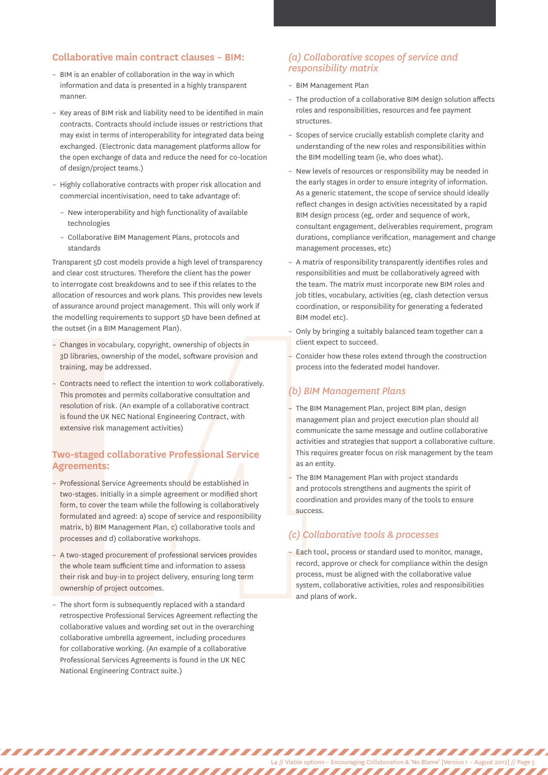#### **Collaborative main contract clauses – BIM:**

- BIM is an enabler of collaboration in the way in which information and data is presented in a highly transparent manner.
- Key areas of BIM risk and liability need to be identified in main contracts. Contracts should include issues or restrictions that may exist in terms of interoperability for integrated data being exchanged. (Electronic data management platforms allow for the open exchange of data and reduce the need for co-location of design/project teams.)
- Highly collaborative contracts with proper risk allocation and commercial incentivisation, need to take advantage of:
	- New interoperability and high functionality of available technologies
	- Collaborative BIM Management Plans, protocols and standards

Transparent 5D cost models provide a high level of transparency and clear cost structures. Therefore the client has the power to interrogate cost breakdowns and to see if this relates to the allocation of resources and work plans. This provides new levels of assurance around project management. This will only work if the modelling requirements to support 5D have been defined at the outset (in a BIM Management Plan).

- Changes in vocabulary, copyright, ownership of objects in 3D libraries, ownership of the model, software provision and training, may be addressed.
- Contracts need to reflect the intention to work collaboratively. This promotes and permits collaborative consultation and resolution of risk. (An example of a collaborative contract is found the UK NEC National Engineering Contract, with extensive risk management activities)

#### **Two-staged collaborative Professional Service Agreements:**

- Changes in vocabulary, copyrig<br>3D libraries, ownership of the i<br>training, may be addressed.<br>- Contracts need to reflect the ir<br>This promotes and permits col<br>resolution of risk. (An example<br>is found the UK NEC National E<br> – Professional Service Agreements should be established in two-stages. Initially in a simple agreement or modified short form, to cover the team while the following is collaboratively formulated and agreed: a) scope of service and responsibility matrix, b) BIM Management Plan, c) collaborative tools and processes and d) collaborative workshops.
	- A two-staged procurement of professional services provides the whole team sufficient time and information to assess their risk and buy-in to project delivery, ensuring long term ownership of project outcomes.
	- The short form is subsequently replaced with a standard retrospective Professional Services Agreement reflecting the collaborative values and wording set out in the overarching collaborative umbrella agreement, including procedures for collaborative working. (An example of a collaborative Professional Services Agreements is found in the UK NEC National Engineering Contract suite.)

## *(a) Collaborative scopes of service and responsibility matrix*

- BIM Management Plan
- The production of a collaborative BIM design solution affects roles and responsibilities, resources and fee payment structures.
- Scopes of service crucially establish complete clarity and understanding of the new roles and responsibilities within the BIM modelling team (ie, who does what).
- New levels of resources or responsibility may be needed in the early stages in order to ensure integrity of information. As a generic statement, the scope of service should ideally reflect changes in design activities necessitated by a rapid BIM design process (eg, order and sequence of work, consultant engagement, deliverables requirement, program durations, compliance verification, management and change management processes, etc)
- A matrix of responsibility transparently identifies roles and responsibilities and must be collaboratively agreed with the team. The matrix must incorporate new BIM roles and job titles, vocabulary, activities (eg, clash detection versus coordination, or responsibility for generating a federated BIM model etc).
- Only by bringing a suitably balanced team together can a client expect to succeed.
- Consider how these roles extend through the construction process into the federated model handover.

## *(b) BIM Management Plans*

- The BIM Management Plan, project BIM plan, design management plan and project execution plan should all communicate the same message and outline collaborative activities and strategies that support a collaborative culture. This requires greater focus on risk management by the team as an entity.
- The BIM Management Plan with project standards and protocols strengthens and augments the spirit of coordination and provides many of the tools to ensure success.

## *(c) Collaborative tools & processes*

– Each tool, process or standard used to monitor, manage, record, approve or check for compliance within the design process, must be aligned with the collaborative value system, collaborative activities, roles and responsibilities and plans of work.

L4 // Viable options – Encouraging Collaboration & 'No Blame' [Version 1 – August 2012] // Page 5